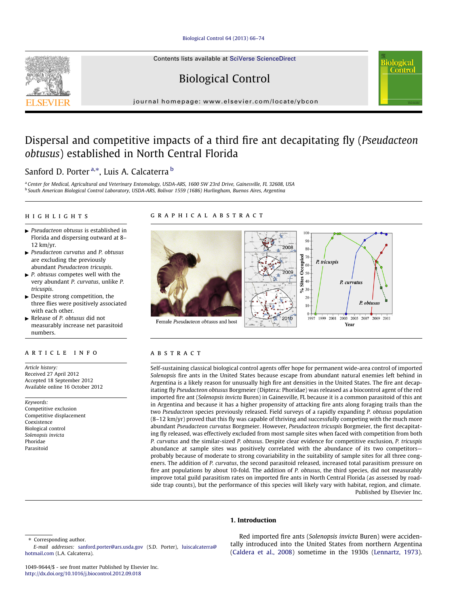#### [Biological Control 64 \(2013\) 66–74](http://dx.doi.org/10.1016/j.biocontrol.2012.09.018)

Contents lists available at [SciVerse ScienceDirect](http://www.sciencedirect.com/science/journal/10499644)

# Biological Control

journal homepage: [www.elsevier.com/locate/ybcon](http://www.elsevier.com/locate/ybcon)

## Dispersal and competitive impacts of a third fire ant decapitating fly (Pseudacteon obtusus) established in North Central Florida

## S[a](#page-0-0)nford D. Porter <sup>a,\*</sup>, Luis A. Calcaterra <sup>[b](#page-0-0)</sup>

<sup>a</sup> Center for Medical, Agricultural and Veterinary Entomology, USDA-ARS, 1600 SW 23rd Drive, Gainesville, FL 32608, USA <sup>b</sup> South American Biological Control Laboratory, USDA-ARS, Bolivar 1559 (1686) Hurlingham, Buenos Aires, Argentina

#### highlights

## graphical abstract

- $\blacktriangleright$  Pseudacteon obtusus is established in Florida and dispersing outward at 8– 12 km/yr.
- $\blacktriangleright$  Pseudacteon curvatus and P. obtusus are excluding the previously abundant Pseudacteon tricuspis.
- $\blacktriangleright$  P. obtusus competes well with the very abundant P. curvatus, unlike P. tricuspis.
- $\blacktriangleright$  Despite strong competition, the three flies were positively associated with each other.
- $\blacktriangleright$  Release of P. obtusus did not measurably increase net parasitoid numbers.

#### article info

Article history: Received 27 April 2012 Accepted 18 September 2012 Available online 16 October 2012

Keywords: Competitive exclusion Competitive displacement Coexistence Biological control Solenopsis invicta Phoridae Parasitoid



**Contro** 

### ABSTRACT

Self-sustaining classical biological control agents offer hope for permanent wide-area control of imported Solenopsis fire ants in the United States because escape from abundant natural enemies left behind in Argentina is a likely reason for unusually high fire ant densities in the United States. The fire ant decapitating fly Pseudacteon obtusus Borgmeier (Diptera: Phoridae) was released as a biocontrol agent of the red imported fire ant (Solenopsis invicta Buren) in Gainesville, FL because it is a common parasitoid of this ant in Argentina and because it has a higher propensity of attacking fire ants along foraging trails than the two Pseudacteon species previously released. Field surveys of a rapidly expanding P. obtusus population  $(8-12 \text{ km/yr})$  proved that this fly was capable of thriving and successfully competing with the much more abundant Pseudacteon curvatus Borgmeier. However, Pseudacteon tricuspis Borgmeier, the first decapitating fly released, was effectively excluded from most sample sites when faced with competition from both P. curvatus and the similar-sized P. obtusus. Despite clear evidence for competitive exclusion, P. tricuspis abundance at sample sites was positively correlated with the abundance of its two competitors probably because of moderate to strong covariability in the suitability of sample sites for all three congeners. The addition of P. curvatus, the second parasitoid released, increased total parasitism pressure on fire ant populations by about 10-fold. The addition of P. obtusus, the third species, did not measurably improve total guild parasitism rates on imported fire ants in North Central Florida (as assessed by roadside trap counts), but the performance of this species will likely vary with habitat, region, and climate. Published by Elsevier Inc.

#### 1. Introduction

Red imported fire ants (Solenopsis invicta Buren) were accidentally introduced into the United States from northern Argentina ([Caldera et al., 2008\)](#page-7-0) sometime in the 1930s ([Lennartz, 1973\)](#page-7-0).



<sup>⇑</sup> Corresponding author.

<span id="page-0-0"></span>E-mail addresses: [sanford.porter@ars.usda.gov](mailto:sanford.porter@ars.usda.gov) (S.D. Porter), [luiscalcaterra@](mailto:luiscalcaterra@hotmail.com) [hotmail.com](mailto:luiscalcaterra@hotmail.com) (L.A. Calcaterra).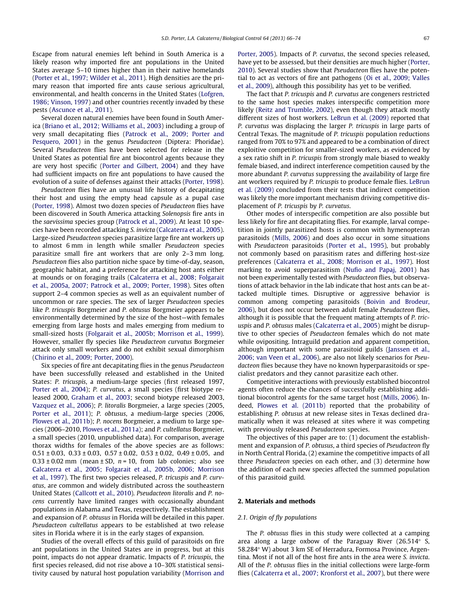Escape from natural enemies left behind in South America is a likely reason why imported fire ant populations in the United States average 5–10 times higher than in their native homelands ([Porter et al., 1997; Wilder et al., 2011](#page-8-0)). High densities are the primary reason that imported fire ants cause serious agricultural, environmental, and health concerns in the United States [\(Lofgren,](#page-7-0) [1986; Vinson, 1997\)](#page-7-0) and other countries recently invaded by these pests ([Ascunce et al., 2011](#page-7-0)).

Several dozen natural enemies have been found in South America ([Briano et al., 2012; Williams et al., 2003](#page-7-0)) including a group of very small decapitating flies [\(Patrock et al., 2009; Porter and](#page-7-0) [Pesquero, 2001\)](#page-7-0) in the genus Pseudacteon (Diptera: Phoridae). Several Pseudacteon flies have been selected for release in the United States as potential fire ant biocontrol agents because they are very host specific [\(Porter and Gilbert, 2004](#page-8-0)) and they have had sufficient impacts on fire ant populations to have caused the evolution of a suite of defenses against their attacks [\(Porter, 1998\)](#page-7-0).

Pseudacteon flies have an unusual life history of decapitating their host and using the empty head capsule as a pupal case ([Porter, 1998](#page-7-0)). Almost two dozen species of Pseudacteon flies have been discovered in South America attacking Solenopsis fire ants in the saevissima species group [\(Patrock et al., 2009](#page-7-0)). At least 10 species have been recorded attacking S. invicta [\(Calcaterra et al., 2005\)](#page-7-0). Large-sized Pseudacteon species parasitize large fire ant workers up to almost 6 mm in length while smaller Pseudacteon species parasitize small fire ant workers that are only 2–3 mm long. Pseudacteon flies also partition niche space by time-of-day, season, geographic habitat, and a preference for attacking host ants either at mounds or on foraging trails [\(Calcaterra et al., 2008; Folgarait](#page-7-0) [et al., 2005a, 2007; Patrock et al., 2009; Porter, 1998](#page-7-0)). Sites often support 2–4 common species as well as an equivalent number of uncommon or rare species. The sex of larger Pseudacteon species like P. tricuspis Borgmeier and P. obtusus Borgmeier appears to be environmentally determined by the size of the host—with females emerging from large hosts and males emerging from medium to small-sized hosts [\(Folgarait et al., 2005b; Morrison et al., 1999\)](#page-7-0). However, smaller fly species like Pseudacteon curvatus Borgmeier attack only small workers and do not exhibit sexual dimorphism ([Chirino et al., 2009; Porter, 2000\)](#page-7-0).

Six species of fire ant decapitating flies in the genus Pseudacteon have been successfully released and established in the United States: P. tricuspis, a medium-large species (first released 1997, [Porter et al., 2004](#page-8-0)); P. curvatus, a small species (first biotype released 2000, [Graham et al., 2003;](#page-7-0) second biotype released 2003, [Vazquez et al., 2006\)](#page-8-0); P. litoralis Borgmeier, a large species (2005, [Porter et al., 2011\)](#page-8-0); P. obtusus, a medium-large species (2006, [Plowes et al., 2011b\)](#page-7-0); P. nocens Borgmeier, a medium to large species (2006–2010, [Plowes et al., 2011a\)](#page-7-0); and P. cultellatus Borgmeier, a small species (2010, unpublished data). For comparison, average thorax widths for females of the above species are as follows:  $0.51 \pm 0.03$ ,  $0.33 \pm 0.03$ ,  $0.57 \pm 0.02$ ,  $0.53 \pm 0.02$ ,  $0.49 \pm 0.05$ , and  $0.33 \pm 0.02$  mm (mean  $\pm$  SD, n = 10, from lab colonies; also see [Calcaterra et al., 2005; Folgarait et al., 2005b, 2006; Morrison](#page-7-0) [et al., 1997](#page-7-0)). The first two species released, P. tricuspis and P. curvatus, are common and widely distributed across the southeastern United States ([Callcott et al., 2010\)](#page-7-0). Pseudacteon litoralis and P. nocens currently have limited ranges with occasionally abundant populations in Alabama and Texas, respectively. The establishment and expansion of P. obtusus in Florida will be detailed in this paper. Pseudacteon cultellatus appears to be established at two release sites in Florida where it is in the early stages of expansion.

Studies of the overall effects of this guild of parasitoids on fire ant populations in the United States are in progress, but at this point, impacts do not appear dramatic. Impacts of P. tricuspis, the first species released, did not rise above a 10–30% statistical sensitivity caused by natural host population variability [\(Morrison and](#page-7-0) [Porter, 2005](#page-7-0)). Impacts of P. curvatus, the second species released, have yet to be assessed, but their densities are much higher ([Porter,](#page-7-0) [2010](#page-7-0)). Several studies show that Pseudacteon flies have the potential to act as vectors of fire ant pathogens ([Oi et al., 2009; Valles](#page-7-0) [et al., 2009\)](#page-7-0), although this possibility has yet to be verified.

The fact that P. tricuspis and P. curvatus are congeners restricted to the same host species makes interspecific competition more likely [\(Reitz and Trumble, 2002\)](#page-8-0), even though they attack mostly different sizes of host workers. [LeBrun et al. \(2009\)](#page-7-0) reported that P. curvatus was displacing the larger P. tricuspis in large parts of Central Texas. The magnitude of P. tricuspis population reductions ranged from 70% to 97% and appeared to be a combination of direct exploitive competition for smaller-sized workers, as evidenced by a sex ratio shift in P. tricuspis from strongly male biased to weakly female biased, and indirect interference competition caused by the more abundant P. curvatus suppressing the availability of large fire ant workers required by P. tricuspis to produce female flies. [LeBrun](#page-7-0) [et al. \(2009\)](#page-7-0) concluded from their tests that indirect competition was likely the more important mechanism driving competitive displacement of P. tricuspis by P. curvatus.

Other modes of interspecific competition are also possible but less likely for fire ant decapitating flies. For example, larval competition in jointly parasitized hosts is common with hymenopteran parasitoids ([Mills, 2006\)](#page-7-0) and does also occur in some situations with Pseudacteon parasitoids ([Porter et al., 1995](#page-8-0)), but probably not commonly based on parasitism rates and differing host-size preferences ([Calcaterra et al., 2008; Morrison et al., 1997\)](#page-7-0). Host marking to avoid superparasitism ([Nufio and Papaj, 2001](#page-7-0)) has not been experimentally tested with Pseudacteon flies, but observations of attack behavior in the lab indicate that host ants can be attacked multiple times. Disruptive or aggressive behavior is common among competing parasitoids [\(Boivin and Brodeur,](#page-7-0) [2006](#page-7-0)), but does not occur between adult female Pseudacteon flies, although it is possible that the frequent mating attempts of P. tricuspis and P. obtusus males [\(Calcaterra et al., 2005](#page-7-0)) might be disruptive to other species of Pseudacteon females which do not mate while ovipositing. Intraguild predation and apparent competition, although important with some parasitoid guilds [\(Janssen et al.,](#page-7-0) [2006; van Veen et al., 2006\)](#page-7-0), are also not likely scenarios for Pseudacteon flies because they have no known hyperparasitoids or specialist predators and they cannot parasitize each other.

Competitive interactions with previously established biocontrol agents often reduce the chances of successfully establishing additional biocontrol agents for the same target host [\(Mills, 2006](#page-7-0)). Indeed, [Plowes et al. \(2011b\)](#page-7-0) reported that the probability of establishing P. obtusus at new release sites in Texas declined dramatically when it was released at sites where it was competing with previously released Pseudacteon species.

The objectives of this paper are to: (1) document the establishment and expansion of P. obtusus, a third species of Pseudacteon fly in North Central Florida, (2) examine the competitive impacts of all three Pseudacteon species on each other, and (3) determine how the addition of each new species affected the summed population of this parasitoid guild.

#### 2. Materials and methods

#### 2.1. Origin of fly populations

The P. obtusus flies in this study were collected at a camping area along a large oxbow of the Paraguay River  $(26.514^{\circ} \text{ S},$ 58.284° W) about 3 km SE of Herradura, Formosa Province, Argentina. Most if not all of the host fire ants in the area were S. invicta. All of the P. obtusus flies in the initial collections were large-form flies [\(Calcaterra et al., 2007; Kronforst et al., 2007](#page-7-0)), but there were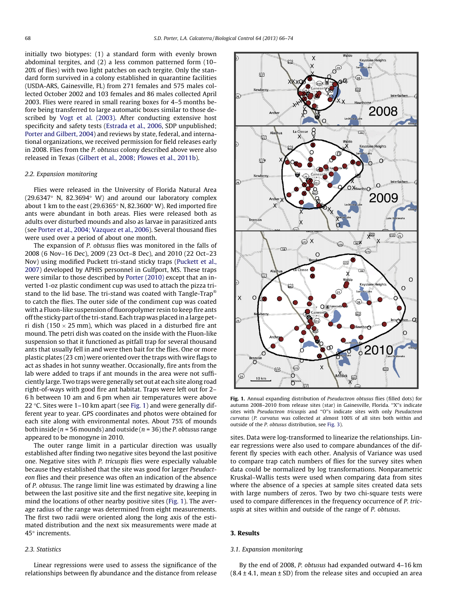initially two biotypes: (1) a standard form with evenly brown abdominal tergites, and (2) a less common patterned form (10– 20% of flies) with two light patches on each tergite. Only the standard form survived in a colony established in quarantine facilities (USDA-ARS, Gainesville, FL) from 271 females and 575 males collected October 2002 and 103 females and 86 males collected April 2003. Flies were reared in small rearing boxes for 4–5 months before being transferred to large automatic boxes similar to those described by [Vogt et al. \(2003\).](#page-8-0) After conducting extensive host specificity and safety tests ([Estrada et al., 2006,](#page-7-0) SDP unpublished; [Porter and Gilbert, 2004](#page-8-0)) and reviews by state, federal, and international organizations, we received permission for field releases early in 2008. Flies from the P. obtusus colony described above were also released in Texas ([Gilbert et al., 2008; Plowes et al., 2011b](#page-7-0)).

#### 2.2. Expansion monitoring

Flies were released in the University of Florida Natural Area (29.6347 $\degree$  N, 82.3694 $\degree$  W) and around our laboratory complex about 1 km to the east (29.6365 $\degree$  N, 82.3600 $\degree$  W). Red imported fire ants were abundant in both areas. Flies were released both as adults over disturbed mounds and also as larvae in parasitized ants (see [Porter et al., 2004; Vazquez et al., 2006](#page-8-0)). Several thousand flies were used over a period of about one month.

The expansion of P. obtusus flies was monitored in the falls of 2008 (6 Nov–16 Dec), 2009 (23 Oct–8 Dec), and 2010 (22 Oct–23 Nov) using modified Puckett tri-stand sticky traps ([Puckett et al.,](#page-8-0) [2007\)](#page-8-0) developed by APHIS personnel in Gulfport, MS. These traps were similar to those described by [Porter \(2010\)](#page-7-0) except that an inverted 1-oz plastic condiment cup was used to attach the pizza tristand to the lid base. The tri-stand was coated with Tangle-Trap® to catch the flies. The outer side of the condiment cup was coated with a Fluon-like suspension of fluoropolymer resin to keep fire ants off the sticky part of the tri-stand. Each trap was placed in a large petri dish (150  $\times$  25 mm), which was placed in a disturbed fire ant mound. The petri dish was coated on the inside with the Fluon-like suspension so that it functioned as pitfall trap for several thousand ants that usually fell in and were then bait for the flies. One or more plastic plates (23 cm) were oriented over the traps with wire flags to act as shades in hot sunny weather. Occasionally, fire ants from the lab were added to traps if ant mounds in the area were not sufficiently large. Two traps were generally set out at each site along road right-of-ways with good fire ant habitat. Traps were left out for 2– 6 h between 10 am and 6 pm when air temperatures were above 22  $\degree$ C. Sites were 1–10 km apart (see [Fig. 1](#page-2-0)) and were generally different year to year. GPS coordinates and photos were obtained for each site along with environmental notes. About 75% of mounds both inside ( $n = 56$  mounds) and outside ( $n = 36$ ) the P. obtusus range appeared to be monogyne in 2010.

The outer range limit in a particular direction was usually established after finding two negative sites beyond the last positive one. Negative sites with P. tricuspis flies were especially valuable because they established that the site was good for larger Pseudacteon flies and their presence was often an indication of the absence of P. obtusus. The range limit line was estimated by drawing a line between the last positive site and the first negative site, keeping in mind the locations of other nearby positive sites ([Fig. 1\)](#page-2-0). The average radius of the range was determined from eight measurements. The first two radii were oriented along the long axis of the estimated distribution and the next six measurements were made at  $45^\circ$  increments.

#### 2.3. Statistics

<span id="page-2-0"></span>Linear regressions were used to assess the significance of the relationships between fly abundance and the distance from release



Fig. 1. Annual expanding distribution of Pseudacteon obtusus flies (filled dots) for autumn 2008–2010 from release sites (star) in Gainesville, Florida. ''X''s indicate sites with Pseudacteon tricuspis and ''O''s indicate sites with only Pseudacteon curvatus (P. curvatus was collected at almost 100% of all sites both within and outside of the P. obtusus distribution, see [Fig. 3](#page-3-0)).

sites. Data were log-transformed to linearize the relationships. Linear regressions were also used to compare abundances of the different fly species with each other. Analysis of Variance was used to compare trap catch numbers of flies for the survey sites when data could be normalized by log transformations. Nonparametric Kruskal–Wallis tests were used when comparing data from sites where the absence of a species at sample sites created data sets with large numbers of zeros. Two by two chi-square tests were used to compare differences in the frequency occurrence of P. tricuspis at sites within and outside of the range of P. obtusus.

#### 3. Results

#### 3.1. Expansion monitoring

By the end of 2008, P. obtusus had expanded outward 4–16 km  $(8.4 \pm 4.1, \text{ mean } \pm \text{ SD})$  from the release sites and occupied an area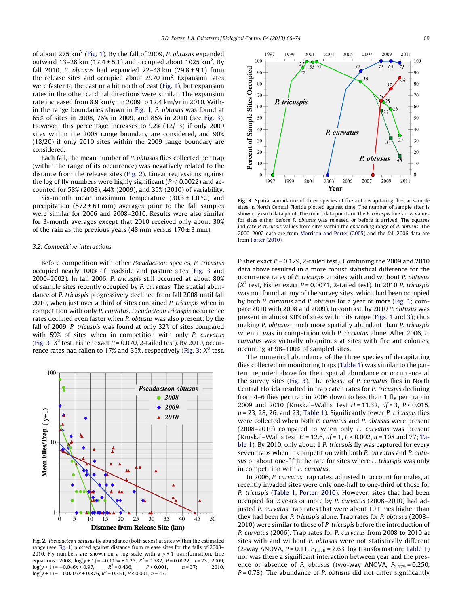of about 275  $km^2$  [\(Fig. 1\)](#page-2-0). By the fall of 2009, P. obtusus expanded outward 13–28 km (17.4  $\pm$  5.1) and occupied about 1025 km<sup>2</sup>. By fall 2010, P. obtusus had expanded  $22-48$  km  $(29.8 \pm 9.1)$  from the release sites and occupied about 2970 km<sup>2</sup>. Expansion rates were faster to the east or a bit north of east ([Fig. 1\)](#page-2-0), but expansion rates in the other cardinal directions were similar. The expansion rate increased from 8.9 km/yr in 2009 to 12.4 km/yr in 2010. Within the range boundaries shown in [Fig. 1,](#page-2-0) P. obtusus was found at 65% of sites in 2008, 76% in 2009, and 85% in 2010 (see [Fig. 3\)](#page-3-0). However, this percentage increases to 92% (12/13) if only 2009 sites within the 2008 range boundary are considered, and 90% (18/20) if only 2010 sites within the 2009 range boundary are considered.

Each fall, the mean number of P. obtusus flies collected per trap (within the range of its occurrence) was negatively related to the distance from the release sites ([Fig. 2\)](#page-3-0). Linear regressions against the log of fly numbers were highly significant ( $P \le 0.0022$ ) and accounted for 58% (2008), 44% (2009), and 35% (2010) of variability.

Six-month mean maximum temperature  $(30.3 \pm 1.0 \degree C)$  and precipitation  $(572 \pm 61 \text{ mm})$  averages prior to the fall samples were similar for 2006 and 2008–2010. Results were also similar for 3-month averages except that 2010 received only about 30% of the rain as the previous years (48 mm versus  $170 \pm 3$  mm).

#### 3.2. Competitive interactions

Before competition with other Pseudacteon species, P. tricuspis occupied nearly 100% of roadside and pasture sites ([Fig. 3](#page-3-0) and 2000–2002). In fall 2006, P. tricuspis still occurred at about 80% of sample sites recently occupied by P. curvatus. The spatial abundance of P. tricuspis progressively declined from fall 2008 until fall 2010, when just over a third of sites contained P. tricuspis when in competition with only P. curvatus. Pseudacteon tricuspis occurrence rates declined even faster when P. obtusus was also present: by the fall of 2009, P. tricuspis was found at only 32% of sites compared with 59% of sites when in competition with only P. curvatus ([Fig. 3](#page-3-0);  $X^2$  test, Fisher exact P = 0.070, 2-tailed test). By 2010, occur-rence rates had fallen to 17% and 35%, respectively [\(Fig. 3](#page-3-0);  $X^2$  test,



<span id="page-3-0"></span>Fig. 2. Pseudacteon obtusus fly abundance (both sexes) at sites within the estimated range (see [Fig. 1\)](#page-2-0) plotted against distance from release sites for the falls of 2008– 2010. Fly numbers are shown on a log scale with a  $y + 1$  transformation. Line equations: 2008,  $log(y + 1) = -0.115x + 1.25$ ,  $R^2 = 0.582$ ,  $P = 0.0022$ ,  $n = 23$ ; 2009,  $log(y + 1) = -0.046x + 0.97$ ,  $R^2 = 0.436$ ,  $P < 0.001$ ,  $n = 37$ ; 2010,  $log(y + 1) = -0.046x + 0.97$ ,  $log(y + 1) = -0.0205x + 0.876$ ,  $R^2 = 0.351$ ,  $P < 0.001$ ,  $n = 47$ .



Fig. 3. Spatial abundance of three species of fire ant decapitating flies at sample sites in North Central Florida plotted against time. The number of sample sites is shown by each data point. The round data points on the P. tricuspis line show values for sites either before P. obtusus was released or before it arrived. The squares indicate P. tricuspis values from sites within the expanding range of P. obtusus. The 2000–2002 data are from [Morrison and Porter \(2005\)](#page-7-0) and the fall 2006 data are from [Porter \(2010\).](#page-7-0)

Fisher exact  $P = 0.129$ , 2-tailed test). Combining the 2009 and 2010 data above resulted in a more robust statistical difference for the occurrence rates of P. tricuspis at sites with and without P. obtusus  $(X^2$  test, Fisher exact P = 0.0071, 2-tailed test). In 2010 P. tricuspis was not found at any of the survey sites, which had been occupied by both P. curvatus and P. obtusus for a year or more [\(Fig. 1;](#page-2-0) compare 2010 with 2008 and 2009). In contrast, by 2010 P. obtusus was present in almost 90% of sites within its range ([Figs. 1](#page-2-0) and [3\)](#page-3-0); thus making P. obtusus much more spatially abundant than P. tricuspis when it was in competition with P. curvatus alone. After 2006, P. curvatus was virtually ubiquitous at sites with fire ant colonies, occurring at 98–100% of sampled sites.

The numerical abundance of the three species of decapitating flies collected on monitoring traps [\(Table 1\)](#page-4-0) was similar to the pattern reported above for their spatial abundance or occurrence at the survey sites [\(Fig. 3\)](#page-3-0). The release of P. curvatus flies in North Central Florida resulted in trap catch rates for P. tricuspis declining from 4–6 flies per trap in 2006 down to less than 1 fly per trap in 2009 and 2010 (Kruskal–Wallis Test  $H = 11.32$ ,  $df = 3$ ,  $P < 0.015$ ,  $n = 23$ , 28, 26, and 23; [Table 1](#page-4-0)). Significantly fewer P. tricuspis flies were collected when both P. curvatus and P. obtusus were present (2008–2010) compared to when only P. curvatus was present (Kruskal–Wallis test,  $H = 12.6$ ,  $df = 1$ ,  $P < 0.002$ ,  $n = 108$  and 77; [Ta](#page-4-0)[ble 1](#page-4-0)). By 2010, only about 1 P. tricuspis fly was captured for every seven traps when in competition with both P. curvatus and P. obtusus or about one-fifth the rate for sites where P. tricuspis was only in competition with P. curvatus.

In 2006, P. curvatus trap rates, adjusted to account for males, at recently invaded sites were only one-half to one-third of those for P. tricuspis [\(Table 1,](#page-4-0) [Porter, 2010\)](#page-7-0). However, sites that had been occupied for 2 years or more by P. curvatus (2008–2010) had adjusted P. curvatus trap rates that were about 10 times higher than they had been for P. tricuspis alone. Trap rates for P. obtusus (2008– 2010) were similar to those of P. tricuspis before the introduction of P. curvatus (2006). Trap rates for P. curvatus from 2008 to 2010 at sites with and without P. obtusus were not statistically different (2-way ANOVA,  $P = 0.11$ ,  $F_{1,179} = 2.63$ , log transformation; [Table 1\)](#page-4-0) nor was there a significant interaction between year and the presence or absence of P. obtusus (two-way ANOVA,  $F_{2,179} = 0.250$ ,  $P = 0.78$ ). The abundance of P. obtusus did not differ significantly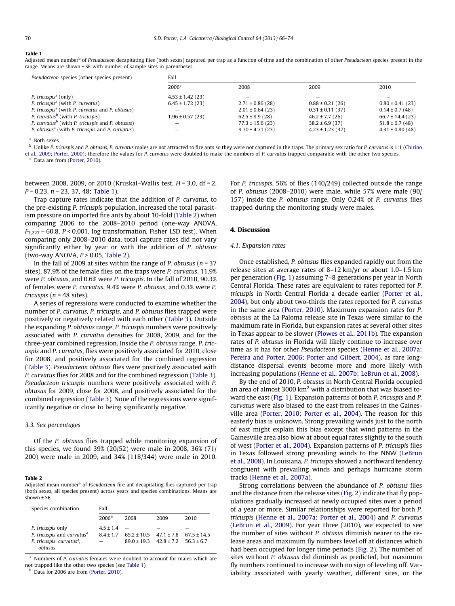#### Table 1

Adjusted mean num[b](#page-4-0)er<sup>b</sup> of Pseudacteon decapitating flies (both sexes) captured per trap as a function of time and the combination of other Pseudacteon species present in the range. Means are shown ± SE with number of sample sites in parentheses.

| Pseudacteon species (other species present)                 | Fall                 |                          |                      |                          |  |  |
|-------------------------------------------------------------|----------------------|--------------------------|----------------------|--------------------------|--|--|
|                                                             | 2006 <sup>c</sup>    | 2008                     | 2009                 | 2010                     |  |  |
| P. tricuspis <sup>a</sup> (only)                            | $4.53 \pm 1.42$ (23) | $\overline{\phantom{0}}$ |                      | $\overline{\phantom{0}}$ |  |  |
| P. tricuspis <sup>a</sup> (with P. curvatus)                | $6.45 \pm 1.72$ (23) | $2.71 \pm 0.86$ (28)     | $0.88 \pm 0.21$ (26) | $0.80 \pm 0.41$ (23)     |  |  |
| P. tricuspis <sup>a</sup> (with P. curvatus and P. obtusus) |                      | $2.01 \pm 0.64$ (23)     | $0.31 \pm 0.11$ (37) | $0.14 \pm 0.7$ (48)      |  |  |
| P. curvatus <sup>b</sup> (with P. tricuspis)                | $1.96 \pm 0.57(23)$  | $62.5 \pm 9.9(28)$       | $46.2 \pm 7.7(26)$   | $66.7 \pm 14.4(23)$      |  |  |
| P. curvatus <sup>b</sup> (with P. tricuspis and P. obtusus) |                      | $77.3 \pm 15.6$ (23)     | $38.2 \pm 6.9$ (37)  | $51.8 \pm 6.7(48)$       |  |  |
| P. obtusus <sup>a</sup> (with P. tricuspis and P. curvatus) |                      | $9.70 \pm 4.71(23)$      | $4.23 \pm 1.23$ (37) | $4.31 \pm 0.80$ (48)     |  |  |

<sup>a</sup> Both sexes.

b Unlike P. tricuspis and P. obtusus, P. curvatus males are not attracted to fire ants so they were not captured in the traps. The primary sex ratio for P. curvatus is 1:1 ([Chirino](#page-7-0) [et al., 2009; Porter, 2000](#page-7-0)); therefore the values for P. curvatus were doubled to make the numbers of P. curvatus trapped comparable with the other two species.

 $c$  Data are from ([Porter, 2010\)](#page-7-0).

between 2008, 2009, or 2010 (Kruskal–Wallis test,  $H = 3.0$ , df = 2,  $P = 0.23$ ,  $n = 23$ , 37, 48; [Table 1](#page-4-0)).

Trap capture rates indicate that the addition of P. curvatus, to the pre-existing P. tricuspis population, increased the total parasitism pressure on imported fire ants by about 10-fold ([Table 2\)](#page-4-0) when comparing 2006 to the 2008–2010 period (one-way ANOVA,  $F_{3,227}$  = 60.8, P < 0.001, log transformation, Fisher LSD test). When comparing only 2008–2010 data, total capture rates did not vary significantly either by year or with the addition of P. obtusus (two-way ANOVA,  $P > 0.05$ , [Table 2\)](#page-4-0).

In the fall of 2009 at sites within the range of P. obtusus ( $n = 37$ ) sites), 87.9% of the female flies on the traps were P. curvatus, 11.9% were P. obtusus, and 0.6% were P. tricuspis. In the fall of 2010, 90.3% of females were P. curvatus, 9.4% were P. obtusus, and 0.3% were P. tricuspis ( $n = 48$  sites).

A series of regressions were conducted to examine whether the number of P. curvatus, P. tricuspis, and P. obtusus flies trapped were positively or negatively related with each other [\(Table 3](#page-5-0)). Outside the expanding P. obtusus range, P. tricuspis numbers were positively associated with P. curvatus densities for 2008, 2009, and for the three-year combined regression. Inside the P. obtusus range, P. tricuspis and P. curvatus, flies were positively associated for 2010, close for 2008, and positively associated for the combined regression ([Table 3](#page-5-0)). Pseudacteon obtusus flies were positively associated with P. curvatus flies for 2008 and for the combined regression ([Table 3\)](#page-5-0). Pseudacteon tricuspis numbers were positively associated with P. obtusus for 2009, close for 2008, and positively associated for the combined regression ([Table 3\)](#page-5-0). None of the regressions were significantly negative or close to being significantly negative.

#### 3.3. Sex percentages

Of the P. obtusus flies trapped while monitoring expansion of this species, we found 39% (20/52) were male in 2008, 36% (71/ 200) were male in 2009, and 34% (118/344) were male in 2010.

#### Table 2

Adjusted me[a](#page-4-0)n number<sup>a</sup> of Pseudacteon fire ant decapitating flies captured per trap (both sexes, all species present) across years and species combinations. Means are  $shown + SF$ 

| Species combination                                                                                  | Fall                       |                                                      |      |                               |  |
|------------------------------------------------------------------------------------------------------|----------------------------|------------------------------------------------------|------|-------------------------------|--|
|                                                                                                      | 2006 <sup>b</sup>          | 2008                                                 | 2009 | 2010                          |  |
| P. tricuspis only<br>P. tricuspis and curvatus <sup>a</sup><br>P. tricuspis, curvatus <sup>a</sup> , | $4.5 \pm 1.4$<br>$84 + 17$ | $65.2 \pm 10.5$ $47.1 \pm 7.8$<br>$890+193$ $428+72$ |      | $67.5 \pm 14.5$<br>$563 + 67$ |  |
| obtusus                                                                                              |                            |                                                      |      |                               |  |

<sup>a</sup> Numbers of *P. curvatus* females were doubled to account for males which are not trapped like the other two species (see [Table 1](#page-4-0)).

<span id="page-4-0"></span>Data for 2006 are from [\(Porter, 2010\)](#page-7-0).

For P. tricuspis, 56% of flies (140/249) collected outside the range of P. obtusus (2008–2010) were male, while 57% were male (90/ 157) inside the P. obtusus range. Only 0.24% of P. curvatus flies trapped during the monitoring study were males.

#### 4. Discussion

#### 4.1. Expansion rates

Once established, P. obtusus flies expanded rapidly out from the release sites at average rates of 8–12 km/yr or about 1.0–1.5 km per generation [\(Fig. 1\)](#page-2-0) assuming 7–8 generations per year in North Central Florida. These rates are equivalent to rates reported for P. tricuspis in North Central Florida a decade earlier ([Porter et al.,](#page-8-0) [2004\)](#page-8-0), but only about two-thirds the rates reported for P. curvatus in the same area ([Porter, 2010\)](#page-7-0). Maximum expansion rates for P. obtusus at the La Paloma release site in Texas were similar to the maximum rate in Florida, but expansion rates at several other sites in Texas appear to be slower ([Plowes et al., 2011b\)](#page-7-0). The expansion rates of P. obtusus in Florida will likely continue to increase over time as it has for other Pseudacteon species [\(Henne et al., 2007a;](#page-7-0) [Pereira and Porter, 2006; Porter and Gilbert, 2004](#page-7-0)), as rare longdistance dispersal events become more and more likely with increasing populations [\(Henne et al., 2007b; LeBrun et al., 2008](#page-7-0)).

By the end of 2010, P. obtusus in North Central Florida occupied an area of almost 3000  $km^2$  with a distribution that was biased toward the east [\(Fig. 1](#page-2-0)). Expansion patterns of both P. tricuspis and P. curvatus were also biased to the east from releases in the Gainesville area [\(Porter, 2010; Porter et al., 2004](#page-7-0)). The reason for this easterly bias is unknown. Strong prevailing winds just to the north of east might explain this bias except that wind patterns in the Gainesville area also blow at about equal rates slightly to the south of west [\(Porter et al., 2004\)](#page-8-0). Expansion patterns of P. tricuspis flies in Texas followed strong prevailing winds to the NNW [\(LeBrun](#page-7-0) [et al., 2008](#page-7-0)). In Louisiana, P. tricuspis showed a northward tendency congruent with prevailing winds and perhaps hurricane storm tracks [\(Henne et al., 2007a\)](#page-7-0).

Strong correlations between the abundance of P. obtusus flies and the distance from the release sites ([Fig. 2](#page-3-0)) indicate that fly populations gradually increased at newly occupied sites over a period of a year or more. Similar relationships were reported for both P. tricuspis [\(Henne et al., 2007a; Porter et al., 2004\)](#page-7-0) and P. curvatus ([LeBrun et al., 2009\)](#page-7-0). For year three (2010), we expected to see the number of sites without P. obtusus diminish nearer to the release areas and maximum fly numbers level off at distances which had been occupied for longer time periods ([Fig. 2](#page-3-0)). The number of sites without P. obtusus did diminish as predicted, but maximum fly numbers continued to increase with no sign of leveling off. Variability associated with yearly weather, different sites, or the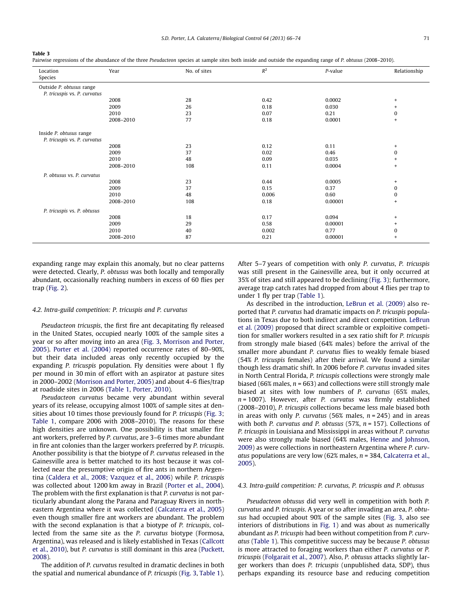#### Table 3

Pairwise regressions of the abundance of the three Pseudacteon species at sample sites both inside and outside the expanding range of P. obtusus (2008–2010).

| Location                     | Year      | No. of sites | $R^2$ | P-value | Relationship                     |
|------------------------------|-----------|--------------|-------|---------|----------------------------------|
| Species                      |           |              |       |         |                                  |
| Outside P. obtusus range     |           |              |       |         |                                  |
| P. tricuspis vs. P. curvatus |           |              |       |         |                                  |
|                              | 2008      | 28           | 0.42  | 0.0002  | $+$                              |
|                              | 2009      | 26           | 0.18  | 0.030   | $^{+}$                           |
|                              | 2010      | 23           | 0.07  | 0.21    | $\bf{0}$                         |
|                              | 2008-2010 | 77           | 0.18  | 0.0001  | $\ddot{}$                        |
|                              |           |              |       |         |                                  |
| Inside P. obtusus range      |           |              |       |         |                                  |
| P. tricuspis vs. P. curvatus |           |              |       |         |                                  |
|                              | 2008      | 23           | 0.12  | 0.11    | $+$                              |
|                              | 2009      | 37           | 0.02  | 0.46    | $\mathbf 0$                      |
|                              | 2010      | 48           | 0.09  | 0.035   | $\begin{array}{c} + \end{array}$ |
|                              | 2008-2010 | 108          | 0.11  | 0.0004  | $\begin{array}{c} + \end{array}$ |
| P. obtusus vs. P. curvatus   |           |              |       |         |                                  |
|                              | 2008      | 23           | 0.44  | 0.0005  | $+$                              |
|                              | 2009      | 37           | 0.15  | 0.37    | $\bf{0}$                         |
|                              | 2010      | 48           | 0.006 | 0.60    | 0                                |
|                              | 2008-2010 | 108          | 0.18  | 0.00001 | $+$                              |
| P. tricuspis vs. P. obtusus  |           |              |       |         |                                  |
|                              | 2008      | 18           | 0.17  | 0.094   | $+$                              |
|                              | 2009      | 29           | 0.58  | 0.00001 | $+$                              |
|                              | 2010      | 40           | 0.002 | 0.77    | $\bf{0}$                         |
|                              | 2008-2010 | 87           | 0.21  | 0.00001 | $\ddot{}$                        |
|                              |           |              |       |         |                                  |

expanding range may explain this anomaly, but no clear patterns were detected. Clearly, P. obtusus was both locally and temporally abundant, occasionally reaching numbers in excess of 60 flies per trap ([Fig. 2](#page-3-0)).

#### 4.2. Intra-guild competition: P. tricuspis and P. curvatus

Pseudacteon tricuspis, the first fire ant decapitating fly released in the United States, occupied nearly 100% of the sample sites a year or so after moving into an area [\(Fig. 3](#page-3-0), [Morrison and Porter,](#page-7-0) [2005](#page-7-0)). [Porter et al. \(2004\)](#page-8-0) reported occurrence rates of 80–90%, but their data included areas only recently occupied by the expanding P. tricuspis population. Fly densities were about 1 fly per mound in 30 min of effort with an aspirator at pasture sites in 2000–2002 ([Morrison and Porter, 2005](#page-7-0)) and about 4–6 flies/trap at roadside sites in 2006 ([Table 1,](#page-4-0) [Porter, 2010\)](#page-7-0).

Pseudacteon curvatus became very abundant within several years of its release, occupying almost 100% of sample sites at densities about 10 times those previously found for P. tricuspis [\(Fig. 3;](#page-3-0) [Table 1](#page-4-0), compare 2006 with 2008–2010). The reasons for these high densities are unknown. One possibility is that smaller fire ant workers, preferred by P. curvatus, are 3–6 times more abundant in fire ant colonies than the larger workers preferred by P. tricuspis. Another possibility is that the biotype of P. curvatus released in the Gainesville area is better matched to its host because it was collected near the presumptive origin of fire ants in northern Argentina ([Caldera et al., 2008; Vazquez et al., 2006](#page-7-0)) while P. tricuspis was collected about 1200 km away in Brazil [\(Porter et al., 2004\)](#page-8-0). The problem with the first explanation is that P. curvatus is not particularly abundant along the Parana and Paraguay Rivers in northeastern Argentina where it was collected ([Calcaterra et al., 2005\)](#page-7-0) even though smaller fire ant workers are abundant. The problem with the second explanation is that a biotype of P. tricuspis, collected from the same site as the P. curvatus biotype (Formosa, Argentina), was released and is likely established in Texas ([Callcott](#page-7-0) [et al., 2010\)](#page-7-0), but P. curvatus is still dominant in this area [\(Puckett,](#page-8-0) [2008](#page-8-0)).

<span id="page-5-0"></span>The addition of P. curvatus resulted in dramatic declines in both the spatial and numerical abundance of P. tricuspis [\(Fig. 3](#page-3-0), [Table 1\)](#page-4-0). After 5–7 years of competition with only P. curvatus, P. tricuspis was still present in the Gainesville area, but it only occurred at 35% of sites and still appeared to be declining ([Fig. 3](#page-3-0)); furthermore, average trap catch rates had dropped from about 4 flies per trap to under 1 fly per trap [\(Table 1](#page-4-0)).

As described in the introduction, [LeBrun et al. \(2009\)](#page-7-0) also reported that P. curvatus had dramatic impacts on P. tricuspis populations in Texas due to both indirect and direct competition. [LeBrun](#page-7-0) [et al. \(2009\)](#page-7-0) proposed that direct scramble or exploitive competition for smaller workers resulted in a sex ratio shift for P. tricuspis from strongly male biased (64% males) before the arrival of the smaller more abundant P. curvatus flies to weakly female biased (54% P. tricuspis females) after their arrival. We found a similar though less dramatic shift. In 2006 before P. curvatus invaded sites in North Central Florida, P. tricuspis collections were strongly male biased (66% males,  $n = 663$ ) and collections were still strongly male biased at sites with low numbers of P. curvatus (65% males,  $n = 1007$ ). However, after P. curvatus was firmly established (2008–2010), P. tricuspis collections became less male biased both in areas with only P. curvatus (56% males,  $n = 245$ ) and in areas with both P. curvatus and P. obtusus (57%,  $n = 157$ ). Collections of P. tricuspis in Louisiana and Mississippi in areas without P. curvatus were also strongly male biased (64% males, [Henne and Johnson,](#page-7-0) [2009](#page-7-0)) as were collections in northeastern Argentina where P. curv*atus* populations are very low (62% males,  $n = 384$ , [Calcaterra et al.,](#page-7-0) [2005](#page-7-0)).

#### 4.3. Intra-guild competition: P. curvatus, P. tricuspis and P. obtusus

Pseudacteon obtusus did very well in competition with both P. curvatus and P. tricuspis. A year or so after invading an area, P. obtusus had occupied about 90% of the sample sites [\(Fig. 3,](#page-3-0) also see interiors of distributions in [Fig. 1](#page-2-0)) and was about as numerically abundant as P. tricuspis had been without competition from P. curvatus [\(Table 1\)](#page-4-0). This competitive success may be because P. obtusus is more attracted to foraging workers than either P. curvatus or P. tricuspis [\(Folgarait et al., 2007\)](#page-7-0). Also, P. obtusus attacks slightly larger workers than does P. tricuspis (unpublished data, SDP), thus perhaps expanding its resource base and reducing competition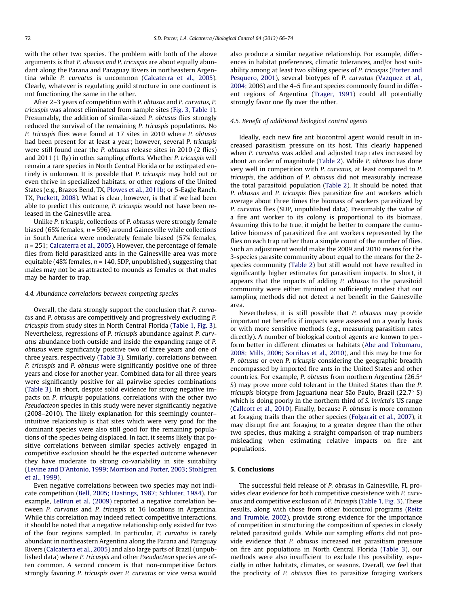with the other two species. The problem with both of the above arguments is that P. obtusus and P. tricuspis are about equally abundant along the Parana and Paraguay Rivers in northeastern Argentina while P. curvatus is uncommon ([Calcaterra et al., 2005\)](#page-7-0). Clearly, whatever is regulating guild structure in one continent is not functioning the same in the other.

After 2–3 years of competition with P. obtusus and P. curvatus, P. tricuspis was almost eliminated from sample sites ([Fig. 3,](#page-3-0) [Table 1\)](#page-4-0). Presumably, the addition of similar-sized P. obtusus flies strongly reduced the survival of the remaining P. tricuspis populations. No P. tricuspis flies were found at 17 sites in 2010 where P. obtusus had been present for at least a year; however, several P. tricuspis were still found near the P. obtusus release sites in 2010 (2 flies) and 2011 (1 fly) in other sampling efforts. Whether P. tricuspis will remain a rare species in North Central Florida or be extirpated entirely is unknown. It is possible that P. tricuspis may hold out or even thrive in specialized habitats, or other regions of the United States (e.g., Brazos Bend, TX, [Plowes et al., 2011b](#page-7-0); or 5-Eagle Ranch, TX, [Puckett, 2008](#page-8-0)). What is clear, however, is that if we had been able to predict this outcome, P. tricuspis would not have been released in the Gainesville area.

Unlike P. tricuspis, collections of P. obtusus were strongly female biased (65% females,  $n = 596$ ) around Gainesville while collections in South America were moderately female biased (57% females,  $n = 251$ ; [Calcaterra et al., 2005](#page-7-0)). However, the percentage of female flies from field parasitized ants in the Gainesville area was more equitable (48% females,  $n = 140$ , SDP, unpublished), suggesting that males may not be as attracted to mounds as females or that males may be harder to trap.

#### 4.4. Abundance correlations between competing species

Overall, the data strongly support the conclusion that P. curvatus and P. obtusus are competitively and progressively excluding P. tricuspis from study sites in North Central Florida [\(Table 1,](#page-4-0) [Fig. 3\)](#page-3-0). Nevertheless, regressions of P. tricuspis abundance against P. curvatus abundance both outside and inside the expanding range of P. obtusus were significantly positive two of three years and one of three years, respectively ([Table 3](#page-5-0)). Similarly, correlations between P. tricuspis and P. obtusus were significantly positive one of three years and close for another year. Combined data for all three years were significantly positive for all pairwise species combinations ([Table 3\)](#page-5-0). In short, despite solid evidence for strong negative impacts on P. tricuspis populations, correlations with the other two Pseudacteon species in this study were never significantly negative (2008–2010). The likely explanation for this seemingly counter– intuitive relationship is that sites which were very good for the dominant species were also still good for the remaining populations of the species being displaced. In fact, it seems likely that positive correlations between similar species actively engaged in competitive exclusion should be the expected outcome whenever they have moderate to strong co-variability in site suitability ([Levine and D'Antonio, 1999; Morrison and Porter, 2003; Stohlgren](#page-7-0) [et al., 1999\)](#page-7-0).

Even negative correlations between two species may not indicate competition ([Bell, 2005; Hastings, 1987; Schluter, 1984\)](#page-7-0). For example, [LeBrun et al. \(2009\)](#page-7-0) reported a negative correlation between P. curvatus and P. tricuspis at 16 locations in Argentina. While this correlation may indeed reflect competitive interactions, it should be noted that a negative relationship only existed for two of the four regions sampled. In particular, P. curvatus is rarely abundant in northeastern Argentina along the Parana and Paraguay Rivers ([Calcaterra et al., 2005](#page-7-0)) and also large parts of Brazil (unpublished data) where P. tricuspis and other Pseudacteon species are often common. A second concern is that non-competitive factors strongly favoring P. tricuspis over P. curvatus or vice versa would also produce a similar negative relationship. For example, differences in habitat preferences, climatic tolerances, and/or host suitability among at least two sibling species of P. tricuspis [\(Porter and](#page-8-0) [Pesquero, 2001\)](#page-8-0), several biotypes of P. curvatus [\(Vazquez et al.,](#page-8-0) [2004;](#page-8-0) 2006) and the 4–5 fire ant species commonly found in different regions of Argentina [\(Trager, 1991](#page-8-0)) could all potentially strongly favor one fly over the other.

#### 4.5. Benefit of additional biological control agents

Ideally, each new fire ant biocontrol agent would result in increased parasitism pressure on its host. This clearly happened when P. curvatus was added and adjusted trap rates increased by about an order of magnitude ([Table 2\)](#page-4-0). While P. obtusus has done very well in competition with P. curvatus, at least compared to P. tricuspis, the addition of P. obtusus did not measurably increase the total parasitoid population [\(Table 2\)](#page-4-0). It should be noted that P. obtusus and P. tricuspis flies parasitize fire ant workers which average about three times the biomass of workers parasitized by P. curvatus flies (SDP, unpublished data). Presumably the value of a fire ant worker to its colony is proportional to its biomass. Assuming this to be true, it might be better to compare the cumulative biomass of parasitized fire ant workers represented by the flies on each trap rather than a simple count of the number of flies. Such an adjustment would make the 2009 and 2010 means for the 3-species parasite community about equal to the means for the 2 species community [\(Table 2](#page-4-0)) but still would not have resulted in significantly higher estimates for parasitism impacts. In short, it appears that the impacts of adding P. obtusus to the parasitoid community were either minimal or sufficiently modest that our sampling methods did not detect a net benefit in the Gainesville area.

Nevertheless, it is still possible that P. obtusus may provide important net benefits if impacts were assessed on a yearly basis or with more sensitive methods (e.g., measuring parasitism rates directly). A number of biological control agents are known to perform better in different climates or habitats ([Abe and Tokumaru,](#page-7-0) [2008; Mills, 2006; Sorribas et al., 2010\)](#page-7-0), and this may be true for P. obtusus or even P. tricuspis considering the geographic breadth encompassed by imported fire ants in the United States and other countries. For example, P. obtusus from northern Argentina (26.5 $\degree$ S) may prove more cold tolerant in the United States than the P. tricuspis biotype from Jaguariuna near São Paulo, Brazil  $(22.7^{\circ} S)$ which is doing poorly in the northern third of S. invicta's US range ([Callcott et al., 2010](#page-7-0)). Finally, because P. obtusus is more common at foraging trails than the other species [\(Folgarait et al., 2007](#page-7-0)), it may disrupt fire ant foraging to a greater degree than the other two species, thus making a straight comparison of trap numbers misleading when estimating relative impacts on fire ant populations.

#### 5. Conclusions

The successful field release of P. obtusus in Gainesville, FL provides clear evidence for both competitive coexistence with P. curvatus and competitive exclusion of P. tricuspis [\(Table 1](#page-4-0), [Fig. 3](#page-3-0)). These results, along with those from other biocontrol programs ([Reitz](#page-8-0) [and Trumble, 2002](#page-8-0)), provide strong evidence for the importance of competition in structuring the composition of species in closely related parasitoid guilds. While our sampling efforts did not provide evidence that P. obtusus increased net parasitism pressure on fire ant populations in North Central Florida [\(Table 3\)](#page-5-0), our methods were also insufficient to exclude this possibility, especially in other habitats, climates, or seasons. Overall, we feel that the proclivity of P. obtusus flies to parasitize foraging workers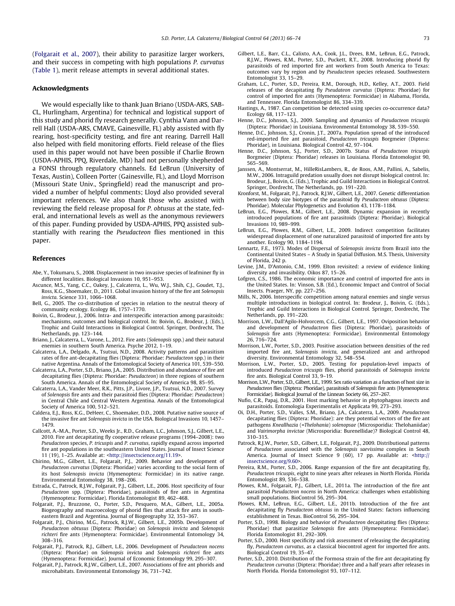([Folgarait et al., 2007](#page-7-0)), their ability to parasitize larger workers, and their success in competing with high populations P. curvatus ([Table 1](#page-4-0)), merit release attempts in several additional states.

#### Acknowledgments

We would especially like to thank Juan Briano (USDA-ARS, SAB-CL, Hurlingham, Argentina) for technical and logistical support of this study and phorid fly research generally. Cynthia Vann and Darrell Hall (USDA-ARS, CMAVE, Gainesville, FL) ably assisted with fly rearing, host-specificity testing, and fire ant rearing. Darrell Hall also helped with field monitoring efforts. Field release of the flies used in this paper would not have been possible if Charlie Brown (USDA-APHIS, PPQ, Riverdale, MD) had not personally shepherded a FONSI through regulatory channels. Ed LeBrun (University of Texas, Austin), Colleen Porter (Gainesville, FL), and Lloyd Morrison (Missouri State Univ., Springfield) read the manuscript and provided a number of helpful comments; Lloyd also provided several important references. We also thank those who assisted with reviewing the field release proposal for P. obtusus at the state, federal, and international levels as well as the anonymous reviewers of this paper. Funding provided by USDA-APHIS, PPQ assisted substantially with rearing the Pseudacteon flies mentioned in this paper.

#### References

- Abe, Y., Tokumaru, S., 2008. Displacement in two invasive species of leafminer fly in different localities. Biological Invasions 10, 951–953.
- Ascunce, M.S., Yang, C.C., Oakey, J., Calcaterra, L., Wu, W.J., Shih, C.J., Goudet, T.J., Ross, K.G., Shoemaker, D., 2011. Global invasion history of the fire ant Solenopsis invicta. Science 331, 1066–1068.
- Bell, G., 2005. The co-distribution of species in relation to the neutral theory of community ecology. Ecology 86, 1757–1770.
- Boivin, G., Brodeur, J., 2006. Intra- and interspecific interaction among parasitoids: mechanisms, outcomes and biological control. In: Boivin, G., Brodeur, J. (Eds.), Trophic and Guild Interactions in Biological Control. Springer, Dordrecht, The Netherlands, pp. 123–144.
- Briano, J., Calcaterra, L., Varone, L., 2012. Fire ants (Solenopsis spp.) and their natural enemies in southern South America. Psyche 2012, 1–19.
- Calcaterra, L.A., Delgado, A., Tsutsui, N.D., 2008. Activity patterns and parasitism rates of fire ant-decapitating flies (Diptera: Phoridae: Pseudacteon spp.) in their native Argentina. Annals of the Entomological Society of America 101, 539–550.
- Calcaterra, L.A., Porter, S.D., Briano, J.A., 2005. Distribution and abundance of fire ant decapitating flies (Diptera: Phoridae: Pseudacteon) in three regions of southern South America. Annals of the Entomological Society of America 98, 85–95.
- Calcaterra, L.A., Vander Meer, R.K., Pitts, J.P., Livore, J.P., Tsutsui, N.D., 2007. Survey of Solenopsis fire ants and their parasitoid flies (Diptera: Phoridae: Pseudacteon) in Central Chile and Central Western Argentina. Annals of the Entomological Society of America 100, 512–521.
- Caldera, E.J., Ross, K.G., DeHeer, C., Shoemaker, D.D., 2008. Putative native source of the invasive fire ant Solenopsis invicta in the USA. Biological Invasions 10, 1457– 1479.
- Callcott, A.-M.A., Porter, S.D., Weeks Jr., R.D., Graham, L.C., Johnson, S.J., Gilbert, L.E., 2010. Fire ant decapitating fly cooperative release programs (1994–2008): two Pseudacteon species, P. tricuspis and P. curvatus, rapidly expand across imported fire ant populations in the southeastern United States. Journal of Insect Science 11 (19), 1–25. Available at: [<http://insectscience.org/11.19](http://insectscience.org/11.19)>.
- Chirino, M.G., Gilbert, L.E., Folgarait, P.J., 2009. Behavior and development of Pseudacteon curvatus (Diptera: Phoridae) varies according to the social form of its host Solenopsis invicta (Hymenoptera: Formicidae) in its native range. Environmental Entomology 38, 198–206.
- Estrada, C., Patrock, R.J.W., Folgarait, P.J., Gilbert, L.E., 2006. Host specificity of four Pseudacteon spp. (Diptera: Phoridae), parasitoids of fire ants in Argentina (Hymenoptera: Formicidae). Florida Entomologist 89, 462–468.
- Folgarait, P.J., Bruzzone, O., Porter, S.D., Pesquero, M.A., Gilbert, L.E., 2005a. Biogeography and macroecology of phorid flies that attack fire ants in southeastern Brazil and Argentina. Journal of Biogeography 32, 353–367.
- Folgarait, P.J., Chirino, M.G., Patrock, R.J.W., Gilbert, L.E., 2005b. Development of Pseudacteon obtusus (Diptera: Phoridae) on Solenopsis invicta and Solenopsis richteri fire ants (Hymenoptera: Formicidae). Environmental Entomology 34, 308–316.
- Folgarait, P.J., Patrock, R.J., Gilbert, L.E., 2006. Development of Pseudacteon nocens (Diptera: Phoridae) on Solenopsis invicta and Solenopsis richteri fire ants (Hymenoptera: Formicidae). Journal of Economic Entomology 99, 295–307.
- <span id="page-7-0"></span>Folgarait, P.J., Patrock, R.J.W., Gilbert, L.E., 2007. Associations of fire ant phorids and microhabitats. Environmental Entomology 36, 731–742.
- Gilbert, L.E., Barr, C.L., Calixto, A.A., Cook, J.L., Drees, B.M., LeBrun, E.G., Patrock, R.J.W., Plowes, R.M., Porter, S.D., Puckett, R.T., 2008. Introducing phorid fly parasitoids of red imported fire ant workers from South America to Texas: outcomes vary by region and by Pseudacteon species released. Southwestern Entomologist 33, 15–29.
- Graham, L.C., Porter, S.D., Pereira, R.M., Dorough, H.D., Kelley, A.T., 2003. Field releases of the decapitating fly Pseudateon curvatus (Diptera: Phoridae) for control of imported fire ants (Hymenoptera: Formicidae) in Alabama, Florida, and Tennessee. Florida Entomologist 86, 334–339.
- Hastings, A., 1987. Can competition be detected using species co-occurrence data? Ecology 68, 117–123.
- Henne, D.C., Johnson, S.J., 2009. Sampling and dynamics of Pseudacteon tricuspis (Diptera: Phoridae) in Louisiana. Environmental Entomology 38, 539–550.
- Henne, D.C., Johnson, S.J., Cronin, J.T., 2007a. Population spread of the introduced red-imported fire ant parasitoid, Pseudacteon tricuspis Borgmeier (Diptera: Phoridae), in Louisiana. Biological Control 42, 97–104.
- Henne, D.C., Johnson, S.J., Porter, S.D., 2007b. Status of Pseudacteon tricuspis Borgmeier (Diptera: Phoridae) releases in Louisiana. Florida Entomologist 90, 565–569.
- Janssen, A., Montserrat, M., HilleRisLambers, R., de Roos, A.M., Pallini, A., Sabelis, M.W., 2006. Intraguild predation usually does not disrupt biological control. In: Brodeur, J., Boivin, G. (Eds.), Trophic and Guild Interactions in Biological Control. Springer, Dordrecht, The Netherlands, pp. 191–220.
- Kronforst, M., Folgarait, P.J., Patrock, R.J.W., Gilbert, L.E., 2007. Genetic differentiation between body size biotypes of the parasitoid fly Pseudacteon obtusus (Diptera: Phoridae). Molecular Phylogenetics and Evolution 43, 1178–1184.
- LeBrun, E.G., Plowes, R.M., Gilbert, L.E., 2008. Dynamic expansion in recently introduced populations of fire ant parasitoids (Diptera: Phoridae). Biological Invasions 10, 989–999.
- LeBrun, E.G., Plowes, R.M., Gilbert, L.E., 2009. Indirect competition facilitates widespread displacement of one naturalized parasitoid of imported fire ants by another. Ecology 90, 1184–1194.
- Lennartz, F.E., 1973. Modes of Dispersal of Solenopsis invicta from Brazil into the Continental United States – A Study in Spatial Diffusion. M.S. Thesis, University of Florida, 242 p.
- Levine, J.M., D'Antonio, C.M., 1999. Elton revisited: a review of evidence linking diversity and invasibility. Oikos 87, 15–26.
- Lofgren, C.S., 1986. The economic importance and control of imported fire ants in the United States. In: Vinson, S.B. (Ed.), Economic Impact and Control of Social Insects. Praeger, NY, pp. 227–256.
- Mills, N., 2006. Interspecific competition among natural enemies and single versus multiple introductions in biological control. In: Brodeur, J., Boivin, G. (Eds.), Trophic and Guild Interactions in Biological Control. Springer, Dordrecht, The Netherlands, pp. 191–220.
- Morrison, L.W., Dall'Agilo-Holvorcem, C.G., Gilbert, L.E., 1997. Oviposition behavior and development of Pseudacteon flies (Diptera: Phoridae), parasitoids of Solenopsis fire ants (Hymenoptera: Formicidae). Environmental Entomology 26, 716–724.
- Morrison, L.W., Porter, S.D., 2003. Positive association between densities of the red imported fire ant, Solenopsis invicta, and generalized ant and arthropod diversity. Environmental Entomology 32, 548–554.
- Morrison, L.W., Porter, S.D., 2005. Testing for population-level impacts of introduced Pseudacteon tricuspis flies, phorid parasitoids of Solenopsis invicta fire ants. Biological Control 33, 9–19.
- Morrison, L.W., Porter, S.D., Gilbert, L.E., 1999. Sex ratio variation as a function of host size in Pseudacteon flies (Diptera: Phoridae), parasitoids of Solenopsis fire ants (Hymenoptera: Formicidae). Biological Journal of the Linnean Society 66, 257–267.
- Nufio, C.R., Papaj, D.R., 2001. Host marking behavior in phytophagous insects and parasitoids. Entomologia Experimentalis et Applicata 99, 273–293.
- Oi, D.H., Porter, S.D., Valles, S.M., Briano, J.A., Calcaterra, L.A., 2009. Pseudacteon decapitating flies (Diptera: Phoridae): are they potential vectors of the fire ant pathogens Kneallhazia (=Thelohania) solenopsae (Microsporidia: Thelohaniidae) and Vairimorpha invictae (Microsporidia: Burenellidae)? Biological Control 48, 310–315.
- Patrock, R.J.W., Porter, S.D., Gilbert, L.E., Folgarait, P.J., 2009. Distributional patterns of Pseudacteon associated with the Solenopsis saevissima complex in South America. Journal of Insect Science 9 (60), 17 pp. Available at: <[http://](http://insectscience.org/9.60) [insectscience.org/9.60>](http://insectscience.org/9.60).
- Pereira, R.M., Porter, S.D., 2006. Range expansion of the fire ant decapitating fly, Pseudacteon tricuspis, eight to nine years after releases in North Florida. Florida Entomologist 89, 536–538.
- Plowes, R.M., Folgarait, P.J., Gilbert, L.E., 2011a. The introduction of the fire ant parasitoid Pseudacteon nocens in North America: challenges when establishing small populations. BioControl 56, 295–304.
- Plowes, R.M., LeBrun, E.G., Gilbert, L.E., 2011b. Introduction of the fire ant decapitating fly Pseudacteon obtusus in the United States: factors influencing establishment in Texas. BioControl 56, 295–304.
- Porter, S.D., 1998. Biology and behavior of Pseudacteon decapitating flies (Diptera: Phoridae) that parasitize Solenopsis fire ants (Hymenoptera: Formicidae). Florida Entomologist 81, 292–309.
- Porter, S.D., 2000. Host specificity and risk assessment of releasing the decapitating fly, Pseudacteon curvatus, as a classical biocontrol agent for imported fire ants. Biological Control 19, 35–47.
- Porter, S.D., 2010. Distribution of the Formosa strain of the fire ant decapitating fly Pseudacteon curvatus (Diptera: Phoridae) three and a half years after releases in North Florida. Florida Entomologist 93, 107–112.